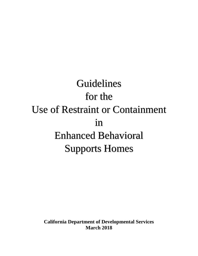Guidelines for the Use of Restraint or Containment in Enhanced Behavioral Supports Homes

**California Department of Developmental Services March 2018**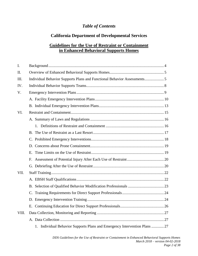## *Table of Contents*

## **California Department of Developmental Services**

## **Guidelines for the Use of Restraint or Containment in Enhanced Behavioral Supports Homes**

| $\mathbf{I}$ . |                                                                            |  |
|----------------|----------------------------------------------------------------------------|--|
| II.            |                                                                            |  |
| III.           | Individual Behavior Supports Plans and Functional Behavior Assessments     |  |
| IV.            |                                                                            |  |
| V.             |                                                                            |  |
|                |                                                                            |  |
|                |                                                                            |  |
| VI.            |                                                                            |  |
|                |                                                                            |  |
|                |                                                                            |  |
|                |                                                                            |  |
|                |                                                                            |  |
|                |                                                                            |  |
|                |                                                                            |  |
|                |                                                                            |  |
|                |                                                                            |  |
| VII.           |                                                                            |  |
|                |                                                                            |  |
|                |                                                                            |  |
|                |                                                                            |  |
|                |                                                                            |  |
|                |                                                                            |  |
| VIII.          |                                                                            |  |
|                |                                                                            |  |
|                | 1. Individual Behavior Supports Plans and Emergency Intervention Plans  27 |  |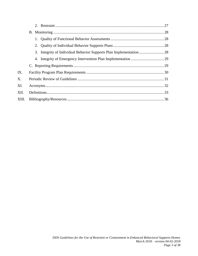| IX.   |  |
|-------|--|
| X.    |  |
| XI.   |  |
| XII.  |  |
| XIII. |  |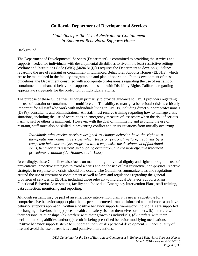### **California Department of Developmental Services**

*Guidelines for the Use of Restraint or Containment in Enhanced Behavioral Supports Homes*

#### Background

The Department of Developmental Services (Department) is committed to providing the services and supports needed for individuals with developmental disabilities to live in the least restrictive settings. Welfare and Institutions Code (WIC) §4684.81(i)(1) requires the Department to develop guidelines regarding the use of restraint or containment in Enhanced Behavioral Supports Homes (EBSHs), which are to be maintained in the facility program plan and plan of operation. In the development of these guidelines, the Department consulted with appropriate professionals regarding the use of restraint or containment in enhanced behavioral supports homes and with Disability Rights California regarding appropriate safeguards for the protection of individuals' rights.

The purpose of these Guidelines, although primarily to provide guidance to EBSH providers regarding the use of restraint or containment, is multifaceted. The ability to manage a behavioral crisis is critically important for all staff who work with individuals living in EBSHs, including direct support professionals (DSPs), consultants and administrators. All staff must receive training regarding how to manage crisis situations, including the use of restraint as an emergency measure of last resort when the risk of serious harm to self or others is imminent. However, with the goal of minimizing and avoiding the use of restraint, staff must also be skilled in preventing conflict and crisis situations from initially occurring.

*Individuals who receive services designed to change behavior have the right to a therapeutic environment, services which focus on personal welfare, treatment by a competent behavior analyst, programs which emphasize the development of functional skills, behavioral assessment and ongoing evaluation, and the most effective treatment procedures available (VanHouten, et al., 1988).*

Accordingly, these Guidelines also focus on maintaining individual dignity and rights through the use of preventative, proactive strategies to avoid a crisis and on the use of less restrictive, non-physical reactive strategies in response to a crisis, should one occur. The Guidelines summarize laws and regulations around the use of restraint or containment as well as laws and regulations regarding the general provision of services in EBSHs, including those relevant to Individual Behavior Supports Plans, Functional Behavior Assessments, facility and Individual Emergency Intervention Plans, staff training, data collection, monitoring and reporting.

Although restraint may be part of an emergency intervention plan; it is never a substitute for a comprehensive behavior support plan that is person-centered, trauma-informed and embraces a positive behavior supports approach. Within a positive behavior supports framework, individuals are supported in changing behaviors that (a) pose a health and safety risk for themselves or others, (b) interfere with their personal relationships, (c) interfere with their growth as individuals, (d) interfere with their decision-making abilities, and/or (e) result in being prescribed behavior-modifying medications. Positive behavior supports strive to support an individual's personal development, enhance quality of life and avoid the use of restrictive and punitive interventions.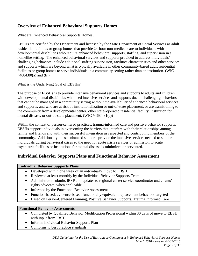## **Overview of Enhanced Behavioral Supports Homes**

### What are Enhanced Behavioral Supports Homes?

EBSHs are certified by the Department and licensed by the State Department of Social Services as adult residential facilities or group homes that provide 24-hour non-medical care to individuals with developmental disabilities who require enhanced behavioral supports, staffing, and supervision in a homelike setting. The enhanced behavioral services and supports provided to address individuals' challenging behaviors include additional staffing supervision, facilities characteristics and other services and supports which are beyond what is typically available in other community-based adult residential facilities or group homes to serve individuals in a community setting rather than an institution. (WIC  $§4684.80(a)$  and (b))

#### What is the Underlying Goal of EBSHs?

The purpose of EBSHs is to provide intensive behavioral services and supports to adults and children with developmental disabilities who need intensive services and supports due to challenging behaviors that cannot be managed in a community setting without the availability of enhanced behavioral services and supports, and who are at risk of institutionalization or out-of-state placement, or are transitioning to the community from a developmental center, other state–operated residential facility, institution for mental disease, or out-of-state placement. (WIC §4684.81(a))

Within the context of person-centered practices, trauma-informed care and positive behavior supports, EBSHs support individuals in overcoming the barriers that interfere with their relationships among family and friends and with their successful integration as respected and contributing members of the community. Additionally, these enhanced supports provide the intensive services needed to support individuals during behavioral crises so the need for acute crisis services or admission to acute psychiatric facilities or institutions for mental disease is minimized or prevented.

## **Individual Behavior Supports Plans and Functional Behavior Assessment**

#### **Individual Behavior Supports Plans**

- Developed within one week of an individual's move to EBSH
- Reviewed at least monthly by the Individual Behavior Supports Team
- Administrator submits IBSP and updates to regional center service coordinator and clients' rights advocate, when applicable
- Informed by the Functional Behavior Assessment
- Function-based, evidence-based, functionally equivalent replacement behaviors targeted
- Based on Person-Centered Planning, Positive Behavior Supports, Trauma Informed Care

#### **Functional Behavior Assessments**

- Completed by Qualified Behavior Modification Professional within 30 days of move to EBSH, with input from IBST
- Informs Individual Behavior Supports Plan
- Conforms to best practice standards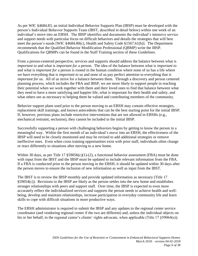As per WIC §4684.83, an initial Individual Behavior Supports Plan (IBSP) must be developed with the person's Individual Behavior Supports Team (IBST, described in detail below) within one week of an individual's move into an EBSH. The IBSP identifies and documents the individual's intensive service and support needs with particular focus on difficult behaviors and details the strategies that will best meet the person's needs [WIC §4684.80(c), Health and Safety Code §1567.61(b)]. The Department recommends that the Qualified Behavior Modification Professional (QBMP) write the IBSP. Qualifications for QBMPs can be found in the Staff Training section of these Guidelines.

From a person-centered perspective, services and supports should address the balance between what is *important to* and what is *important for* a person. The idea of the balance between what is *important to* and what is *important for* a person is rooted in the human condition where none of us has a life where we have everything that is *important to* us and none of us pay perfect attention to everything that is *important for* us. All of us strive for a balance between them. Through a discovery and person centered planning process, which includes the FBA and IBSP, we are more likely to support people in reaching their potential when we work together with them and their loved ones to find that balance between what they need to have a more satisfying and happier life, what is important for their health and safety, and what others see as necessary to helping them be valued and contributing members of the community.

Behavior support plans used prior to the person moving to an EBSH may contain effective strategies, replacement skill trainings, and known antecedents that can be the best starting point for the initial IBSP. If, however, previous plans include restrictive interventions that are not allowed in EBSHs (e.g., mechanical restraint, seclusion), they cannot be included in the initial IBSP.

Successfully supporting a person with challenging behaviors begins by getting to know the person in a meaningful way. Within the first month of an individual's move into an EBSH, the effectiveness of the IBSP will need to be closely monitored and may be revised to add additional strategies or remove ineffective ones. Even when cross training opportunities exist with prior staff, individuals often change or react differently to situations after moving to a new home.

Within 30 days, as per Title 17  $\S59056(c)(1)-(2)$ , a functional behavior assessment (FBA) must be done with input from the IBST and the IBSP must be updated to include relevant information from the FBA. If a FBA is conducted prior to the person moving in the EBSH, it should be updated within 30 days after the person moves to ensure the inclusion of new information as well as input from the IBST.

The IBST is to review the IBSP monthly and provide updated information as necessary (Title 17 §59054(c)). Revisions to the IBSP are likely as the person settles into the new home and establishes stronger relationships with peers and support staff. Over time, the IBSP is expected to even more accurately reflect the individualized services and supports the person needs to achieve health and wellbeing, develop and maintain relationships, increase participation in everyday community life and learn skills to cope with difficult situations in more productive ways.

The EBSH administrator is required to submit the IBSP and any updates to the regional center service coordinator (and vendoring regional center if the two are different) and, unless the individual objects on his or her behalf, to the regional center's clients' rights advocate, when applicable (Title 17 §59064(e)).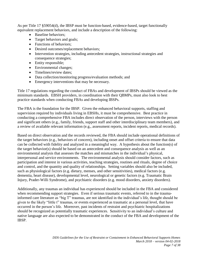As per Title 17 §59054(d), the IBSP must be function-based, evidence-based, target functionally equivalent replacement behaviors, and include a description of the following:

- Baseline behaviors;
- Target behaviors and goals;
- Functions of behaviors;
- Desired outcomes/replacement behaviors;
- Intervention strategies, including antecedent strategies, instructional strategies and consequence strategies;
- Entity responsible;
- Environmental changes;
- Timelines/review dates;
- Data collection/monitoring progress/evaluation methods; and
- Emergency interventions that may be necessary.

Title 17 regulations regarding the conduct of FBAs and development of IBSPs should be viewed as the minimum standards. EBSH providers, in coordination with their QBMPs, must also look to best practice standards when conducting FBAs and developing IBSPs.

The FBA is the foundation for the IBSP. Given the enhanced behavioral supports, staffing and supervision required by individuals living in EBSHs, it must be comprehensive. Best practice in conducting a comprehensive FBA includes direct observation of the person, interviews with the person and significant others (e.g., family, friends, support staff and other interdisciplinary team members), and a review of available relevant information (e.g., assessment reports, incident reports, medical records).

Based on direct observation and the records reviewed, the FBA should include operational definitions of the target behaviors (e.g., behaviors of concern), including onset and offset criteria to ensure that data can be collected with fidelity and analyzed in a meaningful way. A hypothesis about the function(s) of the target behavior(s) should be based on an antecedent and consequence analysis as well as an environmental analysis that assesses the matches and mismatches in the individual's physical, interpersonal and service environments. The environmental analysis should consider factors, such as participation and interest in various activities, teaching strategies, routines and rituals, degree of choice and control, and the quantity and quality of relationships. Setting variables should also be included, such as physiological factors (e.g. dietary, menses, and other sensitivities), medical factors (e.g. dementia, heart disease), developmental level, neurological or genetic factors (e.g. Traumatic Brain Injury, Prader-Willi Syndrome), and psychiatric disorders (e.g. mood disorders, anxiety disorders).

Additionally, any traumas an individual has experienced should be included in the FBA and considered when recommending support strategies. Even if serious traumatic events, referred to in the traumainformed care literature as "big T" traumas, are not identified in the individual's life, thought should be given to the likely "little t" traumas, or events experienced as traumatic at a personal level, that have occurred in the person's life. Moreover, past incidents of restraint and psychiatric hospitalizations should be recognized as potentially traumatic experiences. Sensitivity to an individual's culture and native language are also expected to be demonstrated in the conduct of the FBA and development of the IBSP.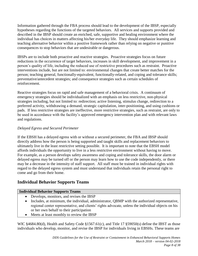Information gathered through the FBA process should lead to the development of the IBSP, especially hypotheses regarding the functions of the targeted behaviors. All services and supports provided and described in the IBSP should create an enriched, safe, supportive and healing environment where the individual has choices in matters affecting his/her everyday life. They should emphasize learning and teaching alternative behavior within a positive framework rather than relying on negative or punitive consequences to stop behaviors that are undesirable or dangerous.

IBSPs are to include both proactive and reactive strategies. Proactive strategies focus on future reductions in the occurrence of target behaviors, increases in skill development, and improvement in a person's quality of life, including the reduced use of restrictive procedures such as restraint. Proactive interventions include, but are not limited to: environmental changes that create better matches for the person; teaching general, functionally-equivalent, functionally-related, and coping and tolerance skills; preventative/antecedent strategies; and consequence strategies such as certain schedules of reinforcement.

Reactive strategies focus on rapid and safe management of a behavioral crisis. A continuum of emergency strategies should be individualized with an emphasis on less restrictive, non-physical strategies including, but not limited to: redirection; active listening, stimulus change, redirection to a preferred activity, withdrawing a demand, strategic capitulation, inter-positioning, and using cushions or pads. If less restrictive strategies are ineffective, more restrictive strategies, such as restraint, are only to be used in accordance with the facility's approved emergency intervention plan and with relevant laws and regulations.

### *Delayed Egress and Secured Perimeter*

If the EBSH has a delayed egress with or without a secured perimeter, the FBA and IBSP should directly address how the person is being supported and taught skills and replacement behaviors to ultimately live in the least restrictive setting possible. It is important to note that the EBSH model affords individuals the opportunity to live in a less restrictive environment without having to move. For example, as a person develops safety awareness and coping and tolerance skills, the door alarm or delayed egress may be turned off or the person may learn how to use the code independently, or there may be a decrease in the intensity of staff support. All staff must be trained in individual rights with regard to the delayed egress system and must understand that individuals retain the personal right to come and go from their home.

## **Individual Behavior Supports Teams**

#### **Individual Behavior Supports Teams**

- Develops, monitors, and revises the IBSP
- Includes, at minimum, the individual, administrator, QBMP with the authorized representative, regional center representative, and clients' rights advocate, unless the individual objects on his or her own behalf to their participation
- Meets at least monthly to review the IBSP

WIC §4684.80(d), Health and Safety Code §1567.61(c), and Title 17 §59050(s) define the IBST as those individuals who develop, monitor, and revise the IBSP for individuals living in EBSHs. These teams are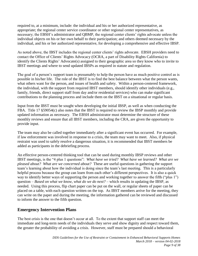required to, at a minimum, include: the individual and his or her authorized representative, as appropriate; the regional center service coordinator or other regional center representatives, as necessary; the EBSH's administrator and QBMP, the regional center clients' rights advocate unless the individual objects on his or her own behalf to their participation; and others deemed necessary by the individual, and his or her authorized representative, for developing a comprehensive and effective IBSP.

As noted above, the IBST includes the regional center clients' rights advocate. EBSH providers need to contact the Office of Clients' Rights Advocacy (OCRA, a part of Disability Rights California) to identify the Clients Rights' Advocate(s) assigned to their geographic area so they know who to invite to IBST meetings and where to send updated IBSPs as required in statute and regulation.

The goal of a person's support team is presumably to help the person have as much positive control as is possible in his/her life. The role of the IBST is to find the best balance between what the person wants, what others want for the person, and issues of health and safety. Within a person-centered framework, the individual, with the support from required IBST members, should identify other individuals (e.g., family, friends, direct support staff from day and/or residential services) who can make significant contributions to the planning process and include them on the IBST on a situational or regular basis.

Input from the IBST must be sought when developing the initial IBSP, as well as when conducting the FBA. Title 17 §59054(c) also notes that the IBST is required to review the IBSP monthly and provide updated information as necessary. The EBSH administrator must determine the structure of these monthly reviews and ensure that all IBST members, including the CRA, are given the opportunity to provide input.

The team may also be called together immediately after a significant event has occurred. For example, if law enforcement was involved in response to a crisis, the team may want to meet. Also, if physical restraint was used to safely resolve a dangerous situation, it is recommended that IBST members be added as participants in the debriefing process.

An effective person-centered thinking tool that can be used during monthly IBSP reviews and other IBST meetings, is the "4 plus 1 questions": *What have we tried? What have we learned? What are we pleased about? What are we concerned about?* These are useful questions in gathering the support team's learning about how the individual is doing since the team's last meeting. This is a particularly helpful process because the group can learn from each other's different perspectives. It is also a quick way to identify better ways of supporting the person and working together to answer the fifth ("plus 1") question – *Based on what we know, what do we do next?* – which results in updating the IBSP, as needed. Using this process, flip chart paper can be put on the wall, or regular sheets of paper can be placed on a table, with each question written on the top. As IBST members arrive for the meeting, they can write on the paper and during the meeting, the information gathered can be reviewed and discussed to inform the answer to the fifth question.

## **Emergency Intervention Plans**

The best crisis is the one that doesn't occur at all. To the extent that support staff can meet the immediate and long-term needs of the individuals they serve and show dignity and respect toward them, the greater the probability of avoiding a crisis. However, staff must be prepared should a behavioral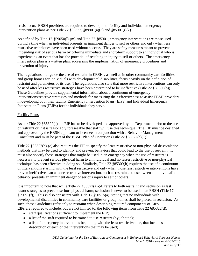crisis occur. EBSH providers are required to develop both facility and individual emergency intervention plans as per Title 22 §85322, §89901(a)(3) and §85301(i)(2).

As defined by Title 17 §59050(l)-(m) and Title 22 §85301, emergency interventions are those used during a time when an individual presents an imminent danger to self or others and only when less restrictive techniques have been used without success. They are safety measures meant to prevent impending risk of serious harm by offering immediate and short-term support to an individual who is experiencing an event that has the potential of resulting in injury to self or others. The emergency intervention plan is a written plan, addressing the implementation of emergency procedures and prevention of injury.

The regulations that guide the use of restraint in EBSHs, as well as in other community care facilities and group homes for individuals with developmental disabilities, focus heavily on the definition of restraint and parameters of its use. The regulations also state that more restrictive interventions can only be used after less restrictive strategies have been determined to be ineffective (Title 22 §85300(b)). These Guidelines provide supplemental information about a continuum of emergency interventions/reactive strategies and methods for measuring their effectiveness to assist EBSH providers in developing both their facility Emergency Intervention Plans (EIPs) and Individual Emergency Intervention Plans (IEIPs) for the individuals they serve.

### Facility Plans

As per Title 22 §85322(a), an EIP has to be developed and approved by the Department prior to the use of restraint or if it is reasonably foreseeable that staff will use this technique. The EIP must be designed and approved by the EBSH applicant or licensee in conjunction with a Behavior Management Consultant and must be part of the EBSH Plan of Operation (Title 22 §85322(a)(1)).

Title 22 §85322(b)-(c) also requires the EIP to specify the least restrictive or non-physical de-escalation methods that may be used to identify and prevent behaviors that could lead to the use of restraint. It must also specify those strategies that might be used in an emergency when the use of restraint is necessary to prevent serious physical harm to an individual and no lesser restrictive or non-physical technique has been effective in doing so. Similarly, Title 22 §85300(b) requires the use of a continuum of interventions starting with the least restrictive and only when those less restrictive interventions have proven ineffective, can a more restrictive intervention, such as restraint, be used when an individual's behavior presents an imminent danger of serious injury to self or others.

It is important to note that while Title 22 §85322(a)-(d) refers to both restraint and seclusion as last resort strategies to prevent serious physical harm; seclusion is never to be used in an EBSH (Title 17 §59051(f)). This is also consistent with Title 17 §50515(a), stating that no individuals with developmental disabilities in community care facilities or group homes shall be placed in seclusion. As such, these Guidelines refer only to restraint when describing required components of EIPs. EIPs are required to include, but are not limited to, the following items from Title 22 §85322(d):

- staff qualifications sufficient to implement the EIP;
- a list of the staff required to be trained to use restraint (by job title);
- a list of emergency interventions beginning with the least restrictive one, that includes a description of each of the interventions that may be used;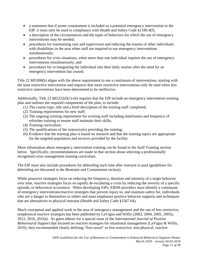- a statement that if prone containment is included as a potential emergency intervention in the EIP, it must only be used in compliance with Health and Safety Code §1180.4(f);
- a description of the circumstances and the types of behaviors for which the use of emergency interventions may be needed;
- procedures for maintaining care and supervision and reducing the trauma of other individuals with disabilities in the area when staff are required to use emergency interventions simultaneously;
- procedures for crisis situations, when more than one individual requires the use of emergency interventions simultaneously; and
- procedures for re-integrating the individual into their daily routine after the need for an emergency intervention has ceased.

Title 22 §85300(b) aligns with the above requirement to use a continuum of interventions, starting with the least restrictive intervention and requires that more restrictive interventions only be used when less restrictive interventions have been determined to be ineffective.

Additionally, Title 22  $\S 85322(f)(1)-(6)$  requires that the EIP include an emergency intervention training plan and outlines the required components of the plan, to include:

- (1) The course type, title and a brief description of the training staff completed;
- (2) Training requirements for new staff;
- (3) The ongoing training requirement for existing staff including timeframes and frequency of refresher training to ensure staff maintain their skills;
- (4) Training curriculum;
- (5) The qualifications of the instructor(s) providing the training;
- (6) Evidence that the training plan is based on research and that the training topics are appropriate for the targeted population and services provided by the facility.

More information about emergency intervention training can be found in the Staff Training section below. Specifically, recommendations are made in that section about selecting a professionally recognized crisis management training curriculum.

The EIP must also include procedures for debriefing each time after restraint is used (guidelines for debriefing are discussed in the Restraint and Containment section).

While proactive strategies focus on reducing the frequency, duration and intensity of a target behavior over time, reactive strategies focus on rapidly de-escalating a crisis by reducing the severity of a specific episode, or behavioral occurrence. When developing EIPs, EBSH providers must identify a continuum of emergency interventions/reactive strategies that prevent injury to, and maintain safety for, individuals who are a danger to themselves or others and must emphasize positive behavior supports and techniques that are alternatives to physical restraint (Health and Safety Code §1567.64).

Much conceptual and applied work in the area of emergency management and the use of less restrictive, nonphysical reactive strategies has been published by LaVigna and Willis (2002, 2004, 2005, 2005a, 2012, 2016, 2016a). As guest editors for a special issue of the *International Journal of Positive Behavioural Support* that focused on reactive strategies for situational management (LaVigna & Willis, 2016), they recommended clearly defining "first resort" or less restrictive, non-physical, reactive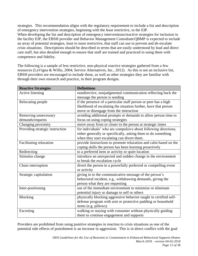strategies. This recommendation aligns with the regulatory requirement to include a list and description of emergency intervention strategies, beginning with the least restrictive, in the EIP. When developing the list and description of emergency interventions/reactive strategies for inclusion in the facility EIP, the EBSH provider and Behavior Management Consultant/QBMP is expected to include an array of potential strategies, least to most restrictive, that staff can use to prevent and de-escalate crisis situations. Descriptions should be described in terms that are easily understood by lead and direct care staff, but also detailed enough to ensure that staff are trained and practiced in using them with competence and fidelity.

The following is a sample of less restrictive, non-physical reactive strategies gathered from a few resources (LaVigna & Willis, 2004; Service Alternatives, Inc., 2012). As this is not an inclusive list, EBSH providers are encouraged to include these, as well as other strategies they are familiar with through their own research and practice, in their program designs.

| <b>Reactive Strategies</b>      | <b>Definitions</b>                                                |
|---------------------------------|-------------------------------------------------------------------|
| Active listening                | nondirective, nonjudgmental communication reflecting back the     |
|                                 | message the person is sending                                     |
| Relocating people               | if the presence of a particular staff person or peer has a high   |
|                                 | likelihood of escalating the situation further, have that person  |
|                                 | move or disengage from the interaction                            |
| Removing unnecessary            | avoiding additional prompts or demands to allow person time to    |
| demands/requests                | focus on using coping strategies                                  |
| Changing proximity              | move away from or closer to the person at strategic times         |
| Providing strategic instruction | for individuals' who are compulsive about following directions,   |
|                                 | either generally or specifically, asking them to do something     |
|                                 | when they start escalating can divert them.                       |
| Facilitating relaxation         | provide instructions to promote relaxation and calm based on the  |
|                                 | coping skills the person has been learning proactively            |
| Redirecting                     | to a preferred item or activity or quiet location                 |
| Stimulus change                 | introduce an unexpected and sudden change in the environment      |
|                                 | to break the escalation cycle                                     |
| Chain interruption              | divert the person to a powerfully preferred or compelling event   |
|                                 | or activity                                                       |
| Strategic capitulation          | giving in to the communicative message of the person's            |
|                                 | behavioral incident, e.g., withdrawing demands, giving the        |
|                                 | person what they are requesting                                   |
| Inter-positioning               | use of the immediate environment to minimize or eliminate         |
|                                 | potential injury or damage to self or others                      |
| Blocking                        | physically blocking aggressive behavior taught in certified self- |
|                                 | defense program with arm or protective padding or household       |
|                                 | items (e.g. pillows)                                              |
| Escorting                       | walking or staying with consumer without physically guiding       |
|                                 | them to continue engagement and supports                          |

Providers are prohibited from using punitive strategies in reaction to crisis situations as one of the potential side effects of punishment is an increase in aggression. This is in direct conflict with the goal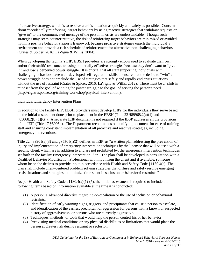of a reactive strategy, which is to resolve a crisis situation as quickly and safely as possible. Concerns about "accidentally reinforcing" target behaviors by using reactive strategies that withdraw requests or "give in" to the communicated message of the person in crisis are understandable. Though such strategies may seem counterintuitive, the risk of reinforcing target behaviors are minimized or avoided within a positive behavior supports framework because proactive strategies enrich the individual's environment and provide a rich schedule of reinforcement for alternative non-challenging behaviors (Crates & Spicer, 2016; LaVigna & Willis, 2004).

When developing the facility's EIP, EBSH providers are strongly encouraged to evaluate their own and/or their staffs' resistance to using potentially effective strategies because they don't want to "give in" and lose a perceived power struggle. It is critical that all staff supporting individuals with challenging behaviors have well-developed self-regulation skills to ensure that the desire to "win" a power struggle does not preclude the use of strategies that safely and rapidly end crisis situations without the use of restraint (Crates & Spicer, 2016; LaVigna & Willis, 2012). There must be a "shift in mindset from the goal of winning the power struggle to the goal of serving the person's need" [\(http://rightresponse.org/training-workshop/physical\\_intervention\)](http://rightresponse.org/training-workshop/physical_intervention).

#### Individual Emergency Intervention Plans

In addition to the facility EIP, EBSH providers must develop IEIPs for the individuals they serve based on the initial assessment done prior to placement in the EBSH (Title 22 §89968.2(a)(1) and §85068.2(b)(1)(G)). A separate IEIP document is not required if the IBSP addresses all the provisions of the IEIP (Title 17 §59054). The Department recommends one unifying document for ease of training staff and ensuring consistent implementation of all proactive and reactive strategies, including emergency interventions.

Title 22 §89901(a)(3) and §85301(i)(2) defines an IEIP as "a written plan addressing the prevention of injury and implementation of emergency intervention techniques by the licensee that will be used with a specific client, which are in addition to and are not prohibited by, the emergency intervention techniques set forth in the facility Emergency Intervention Plan. The plan shall be developed in consultation with a Qualified Behavior Modification Professional with input from the client and if available, someone whom he or she desires to provide input in accordance with Health and Safety Code §1180.4(a). The plan shall include client-centered problem solving strategies that diffuse and safely resolve emerging crisis situations and strategies to minimize time spent in seclusion or behavioral restraints."

As per Health and Safety Code  $\S1180.4(a)(1)$ -(5), the initial assessment is required to include the following items based on information available at the time it is conducted:

- (1) A person's advanced directive regarding de-escalation or the use of seclusion or behavioral restraints.
- (2) Identification of early warning signs, triggers, and precipitants that cause a person to escalate, and identification of the earliest precipitant of aggression for persons with a known or suspected history of aggressiveness, or persons who are currently aggressive.
- (3) Techniques, methods, or tools that would help the person control his or her behavior.
- (4) Preexisting medical conditions or any physical disabilities or limitations that would place the person at greater risk during restraint or seclusion.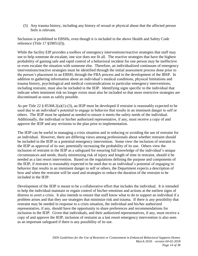(5) Any trauma history, including any history of sexual or physical abuse that the affected person feels is relevant.

Seclusion is prohibited in EBSHs, even though it is included in the above Health and Safety Code reference (Title 17 §59051(f)).

While the facility EIP provides a toolbox of emergency interventions/reactive strategies that staff may use to help someone de-escalate, one size does not fit all. The reactive strategies that have the highest probability of gaining safe and rapid control of a behavioral incident for one person may be ineffective or even escalate the situation with someone else. Therefore, an individualized continuum of emergency interventions/reactive strategies must be identified through the initial assessment process done prior to the person's placement in an EBSH, through the FBA process and in the development of the IBSP. In addition to gathering information about an individual's medical conditions, physical limitations and trauma history, psychological and medical contraindications to particular emergency interventions, including restraint, must also be included in the IEIP. Identifying signs specific to the individual that indicate when imminent risk no longer exists must also be included so that more restrictive strategies are discontinued as soon as safely possible.

As per Title 22 § 85368.2(a)(1)-(3), an IEIP must be developed if restraint is reasonably expected to be used due to an individual's potential to engage in behavior that results in an imminent danger to self or others. The IEIP must be updated as needed to ensure it meets the safety needs of the individual. Additionally, the individual or his/her authorized representative, if any, must receive a copy of and approve the IEIP and any revisions to the plan prior to implementation.

The IEIP can be useful in managing a crisis situation and in reducing or avoiding the use of restraint for an individual. However, there are differing views among professionals about whether restraint should be included in the IEIP as a potential emergency intervention. Some view the inclusion of restraint in the IEIP as approval of its use; potentially increasing the probability of its use. Others view the inclusion of restraint in the IEIP as a safeguard for ensuring full knowledge of the individual's unique circumstances and needs, thusly minimizing risk of injury and length of time in restraint, should it be needed as a last resort intervention. Based on the regulations defining the purpose and components of the IEIP, if restraint is reasonably expected to be used due to an individual's potential of engaging in behavior that results in an imminent danger to self or others, the Department expects a description of how and when the restraint will be used and strategies to reduce the duration of the restraint to be included in the IEIP.

Development of the IEIP is meant to be a collaborative effort that includes the individual. It is intended to help the individual maintain or regain control of his/her emotions and actions at the earliest signs of distress to avert a crisis. It also intends to ensure that staff know what to do to support an individual if a problem arises and that they use strategies that minimize risk and trauma. If there is any possibility that restraint may be needed in response to a crisis situation, the individual and his/her authorized representative, if any, should have the opportunity to share preferences and recommendations for inclusion in the IEIP. Given that individuals, and their authorized representatives, if any, must receive a copy of and approve the IEIP, inclusion of restraint as a last resort emergency intervention is also seen as an important safeguard if there is any possibility of its use.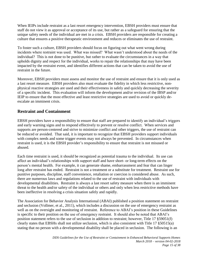When IEIPs include restraint as a last resort emergency intervention, EBSH providers must ensure that staff do not view it as approval or acceptance of its use, but rather as a safeguard for ensuring that the unique safety needs of the individual are met in a crisis. EBSH providers are responsible for creating a culture that ensures a positive therapeutic environment and reduces or eliminates the use of restraint.

To foster such a culture, EBSH providers should focus on figuring out what went wrong during incidents where restraint was used. What was missed? What wasn't understood about the needs of the individual? This is not done to be punitive, but rather to evaluate the circumstances in a way that upholds dignity and respect for the individual, works to repair the relationships that may have been impacted by the restraint event, and identifies different actions that can be taken to avoid the use of restraint in the future.

Moreover, EBSH providers must assess and monitor the use of restraint and ensure that it is only used as a last resort measure. EBSH providers also must evaluate the fidelity in which less restrictive, nonphysical reactive strategies are used and their effectiveness in safely and quickly decreasing the severity of a specific incident. This evaluation will inform the development and/or revision of the IBSP and/or IEIP to ensure that the most effective and least restrictive strategies are used to avoid or quickly deescalate an imminent crisis.

## **Restraint and Containment**

EBSH providers have a responsibility to ensure that staff are prepared to identify an individual's triggers and early warning signs and to respond effectively to prevent or resolve conflict. When services and supports are person-centered and strive to minimize conflict and other triggers, the use of restraint can be reduced or avoided. That said, it is important to recognize that EBSH providers support individuals with complex needs and some trigger events may not always be prevented. In circumstances when restraint is used, it is the EBSH provider's responsibility to ensure that restraint is not misused or abused.

Each time restraint is used, it should be recognized as potential trauma to the individual. Its use can affect an individual's relationships with support staff and have short- or long-term effects on the person's mental health. For example, it can generate shame, embarrassment and fear that can linger long after restraint has ended. Restraint is not a treatment or a substitute for treatment. Restraint use for punitive purposes, discipline, staff convenience, retaliation or coercion is considered abuse. As such, there are numerous laws and regulations related to the use of restraint with individuals with developmental disabilities. Restraint is always a last resort safety measure when there is an imminent threat to the health and/or safety of the individual or others and only when less restrictive methods have been ineffective in resolving a crisis situation safely and rapidly.

The Association for Behavior Analysis International (ABAI) published a position statement on restraint and seclusion (Vollmer, et al., 2011), which includes a discussion on the use of emergency restraint as well as on the oversight and monitoring of restraint. Reference to ABAI's position in these Guidelines is specific to their position on the use of emergency restraint. It should also be noted that ABAI's position statement refers to the use of seclusion in addition to restraint; however, Title 17 §59051(f) clearly states that EBSHs shall not utilize seclusion, which is also consistent with Title 17 §50515(a) stating that no person with a developmental disability shall be placed in seclusion. The following is an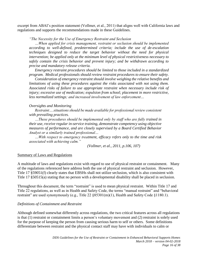excerpt from ABAI's position statement (Vollmer, et al., 2011) that aligns well with California laws and regulations and supports the recommendations made in these Guidelines.

#### *"The Necessity for the Use of Emergency Restraint and Seclusion*

*…When applied for crisis management, restraint or seclusion should be implemented according to well-defined, predetermined criteria; include the use of de-escalation techniques designed to reduce the target behavior without the need for physical intervention; be applied only at the minimum level of physical restrictiveness necessary to safely contain the crisis behavior and prevent injury; and be withdrawn according to precise and mandatory release criteria.* 

*Emergency restraint procedures should be limited to those included in a standardized program. Medical professionals should review restraint procedures to ensure their safety.* 

*Consideration of emergency restraint should involve weighing the relative benefits and limitations of using these procedures against the risks associated with not using them. Associated risks of failure to use appropriate restraint when necessary include risk of injury; excessive use of medication; expulsion from school; placement in more restrictive, less normalized settings; and increased involvement of law enforcement…* 

#### *Oversights and Monitoring*

*Restraint….situations should be made available for professional review consistent with prevailing practices.*

*…These procedures should be implemented only by staff who are fully trained in their use, receive regular in-service training, demonstrate competency using objective measures of performance, and are closely supervised by a Board Certified Behavior Analyst or a similarly trained professional…*

*…With respect to emergency treatment, efficacy refers only to the time and risk associated with achieving calm."* 

*(Vollmer, et al., 2011, p.106, 107)*

#### Summary of Laws and Regulations

A multitude of laws and regulations exist with regard to use of physical restraint or containment. Many of the regulations referenced here address both the use of physical restraint and seclusion. However, Title 17 §59051(f) clearly states that EBSHs shall not utilize seclusion, which is also consistent with Title 17 §50515(a) stating that no person with a developmental disability shall be placed in seclusion.

Throughout this document, the term "restraint" is used to mean physical restraint. Within Title 17 and Title 22 regulations, as well as in Health and Safety Code, the terms "manual restraint" and "behavioral restraint" are used synonymously (e.g., Title 22 §85301(m)(1), Health and Safety Code §1180.1).

#### *Definitions of Containment and Restraint*

Although defined somewhat differently across regulations, the two critical features across all regulations is that (1) restraint or containment limits a person's voluntary movement and (2) restraint is solely used for the purpose of keeping the person from causing serious harm to self or others. Some definitions differentiate between restraint and the physical contact staff may have with individuals to calm or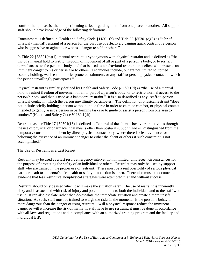comfort them, to assist them in performing tasks or guiding them from one place to another. All support staff should have knowledge of the following definitions.

Containment is defined in Health and Safety Code §1180.1(b) and Title 22 §85301(c)(3) as "a brief physical (manual) restraint of a person for the purpose of effectively gaining quick control of a person who is aggressive or agitated or who is a danger to self or others."

In Title 22 §85301(m)(1), manual restraint is synonymous with physical restraint and is defined as "the use of a manual hold to restrict freedom of movement of all or part of a person's body, or to restrict normal access to the person's body, and that is used as a behavioral restraint on a client who presents an imminent danger to his or her self or to others. Techniques include, but are not limited to, forced escorts; holding; wall restraint; brief prone containment; or any staff-to-person physical contact in which the person unwillingly participates."

Physical restraint is similarly defined by Health and Safety Code §1180.1(d) as "the use of a manual hold to restrict freedom of movement of all or part of a person's body, or to restrict normal access to the person's body, and that is used as a behavioral restraint." It is also described as any "staff-to-person physical contact in which the person unwillingly participates." The definition of physical restraint "does not include briefly holding a person without undue force in order to calm or comfort, or physical contact intended to gently assist a person in performing tasks or to guide or assist a person from one area to another." (Health and Safety Code §1180.1(d))

Restraint, as per Title 17 §50501(16) is defined as "control of the client's behavior or activities through the use of physical or pharmaceutical means other than postural support" and is "distinguished from the temporary constraint of a client by direct physical contact only, where there is clear evidence for believing the existence of an imminent danger to either the client or others if such constraint is not accomplished."

#### The Use of Restraint as a Last Resort

Restraint may be used as a last resort emergency intervention in limited, unforeseen circumstances for the purpose of protecting the safety of an individual or others. Restraint may only be used by support staff who are trained in the proper use of restraint. There must be a real possibility of serious physical harm or death to someone's life, health or safety if no action is taken. There also must be documented evidence that less restrictive, nonphysical strategies were attempted first and without success.

Restraint should only be used when it will make the situation safer. The use of restraint is inherently risky and is associated with risk of injury and potential trauma to both the individual and to the staff who use it. It can also escalate rather than de-escalate the immediate situation and create a more unsafe situation. As such, staff must be trained to weigh the risks in the moment. Is the person's behavior more dangerous than the danger of using restraint? Will a physical response reduce the imminent danger or will it increase the risk of harm? If staff have to use restraint, it must be done in accordance with all laws and regulations and in compliance with an authorized training program and the facility and individual EIP.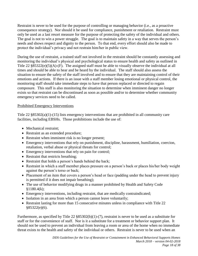Restraint is never to be used for the purpose of controlling or managing behavior (i.e., as a proactive consequence strategy). Nor should it be used for compliance, punishment or retaliation. Restraint must only be used as a last resort measure for the purpose of protecting the safety of the individual and others. The goal is not to win a power struggle. The goal is to maintain safety in a way that serves the person's needs and shows respect and dignity to the person. To that end, every effort should also be made to protect the individual's privacy and not restrain him/her in public view.

During the use of restraint, a trained staff not involved in the restraint should be constantly assessing and monitoring the individual's physical and psychological status to ensure health and safety as outlined in Title 22 §85322(e)(5)(A)-(F). The assigned staff must be able to visually observe the individual at all times and should be able to hear and be heard by the individual. The staff should also assess the situation to ensure the safety of the staff involved and to ensure that they are maintaining control of their emotions and actions. If there is an issue with a staff member losing emotional or physical control, the monitoring staff should take immediate steps to have that person replaced or directed to regain composure. This staff is also monitoring the situation to determine when imminent danger no longer exists so that restraint can be discontinued as soon as possible and/or to determine whether community emergency services need to be called.

#### Prohibited Emergency Interventions

Title  $22 \frac{885302(a)(1)-(15)}{2}$  lists emergency interventions that are prohibited in all community care facilities, including EBSHs. Those prohibitions include the use of:

- Mechanical restraint:
- Restraint as an extended procedure;
- Restraint when imminent risk is no longer present;
- Emergency interventions that rely on punishment, discipline, harassment, humiliation, coercion, retaliation, verbal abuse or physical threats for control;
- Emergency interventions that rely on pain for control;
- Restraint that restricts breathing;
- Restraint that holds a person's hands behind the back;
- Restraint in which a staff member places pressure on a person's back or places his/her body weight against the person's torso or back;
- Placement of an item that covers a person's head or face (padding under the head to prevent injury is permitted if it does not impair breathing);
- The use of behavior modifying drugs in a manner prohibited by Health and Safety Code  $$1180.4(k);$
- Emergency interventions, including restraint, that are medically contraindicated;
- Isolation in an area from which a person cannot leave voluntarily;
- Restraint lasting for more than 15 consecutive minutes unless in compliance with Title 22 §85322(e)(6).

Furthermore, as specified by Title 22 §85302(b)(1)-(7), restraint is never to be used as a substitute for staff or for the convenience of staff. Nor is it a substitute for a treatment or behavior support plan. It should not be used to prevent an individual from leaving a room or area of the home when no immediate threat exists to the health and safety of the individual or others. Restraint is never to be used when an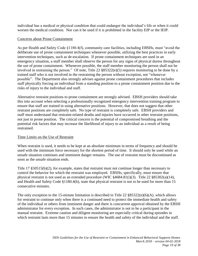individual has a medical or physical condition that could endanger the individual's life or when it could worsen the medical condition. Nor can it be used if it is prohibited in the facility EIP or the IEIP.

#### Concerns about Prone Containment

As per Health and Safety Code §1180.4(f), community care facilities, including EBSHs, must "avoid the deliberate use of prone containment techniques whenever possible, utilizing the best practices in early intervention techniques, such as de-escalation. If prone containment techniques are used in an emergency situation, a staff member shall observe the person for any signs of physical duress throughout the use of prone containment. Whenever possible, the staff member monitoring the person shall not be involved in restraining the person." Of note, Title 22 §85322(e)(5) requires monitoring to be done by a trained staff who is not involved in the restraining the person without exception, not "whenever possible". The Department also strongly advises against prone containment procedures that includes staff physically forcing an individual from a standing position to a prone containment position due to the risks of injury to the individual and staff.

Alternative restraint positions to prone containment are strongly advised. EBSH providers should take this into account when selecting a professionally recognized emergency intervention training program to ensure that staff are trained in using alternative positions. However, that does not suggest that other restraint positions are completely safe. No type of restraint is completely safe. EBSH providers and staff must understand that restraint-related deaths and injuries have occurred in other restraint positions, not just in prone position. The critical concern is the potential of compromised breathing and the potential risk factors that may increase the likelihood of injury to an individual as a result of being restrained.

#### Time Limits on the Use of Restraint

When restraint is used, it needs to be kept at an absolute minimum in terms of frequency and should be used with the minimum force necessary for the shortest period of time. It should only be used while an unsafe situation continues and imminent danger remains. The use of restraint must be discontinued as soon as the unsafe situation ends.

Title 17 §50515(b)(2), for example, states that restraint must not continue longer than necessary to control the behavior for which the restraint was employed. EBSHs, specifically, must ensure that physical restraint is not used as an extended procedure (WIC  $\frac{4684.81(i)}{(3)}$ . Title 22  $\frac{85302(a)}{(14)}$ , and Health and Safety Code §1180.4(h), state that physical restraint is not to be used for more than 15 consecutive minutes.

The only exception to the 15-minute limitation is described in Title 22  $§85322(e)(6)(A)$ , which allows for restraint to continue only when there is a continued need to protect the immediate health and safety of the individual or others from imminent danger and there is concurrent approval obtained by the EBSH administrator for every exception. In such cases, the administrator is not to be a participant in the manual restraint. Extreme caution and diligent monitoring are especially critical during episodes in which restraint lasts more than 15 minutes to ensure the health and safety of the individual and the staff.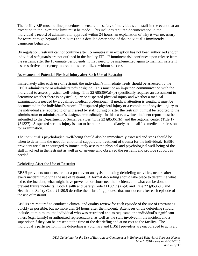The facility EIP must outline procedures to ensure the safety of individuals and staff in the event that an exception to the 15-minute limit must be made. This includes required documentation in the individual's record of administrator approval within 24 hours, an explanation of why it was necessary for restraint to go beyond 15 minutes and a detailed description of the individual's imminently dangerous behavior.

By regulation, restraint cannot continue after 15 minutes if an exception has not been authorized and/or individual safeguards are not outlined in the facility EIP. If imminent risk continues upon release from the restraint after the 15-minute period ends, it may need to be implemented again to maintain safety if less restrictive emergency interventions are utilized without success.

#### Assessment of Potential Physical Injury after Each Use of Restraint

Immediately after each use of restraint, the individual's immediate needs should be assessed by the EBSH administrator or administrator's designee. This must be an in-person communication with the individual to assess physical well-being. Title 22 §85369(a)-(b) specifically requires an assessment to determine whether there is physical injury or suspected physical injury and whether a medical examination is needed by a qualified medical professional. If medical attention is sought, it must be documented in the individual's record. If suspected physical injury or a complaint of physical injury to the individual are reported to or witnessed by staff during or after the restraint, it must be reported to the administrator or administrator's designee immediately. In this case, a written incident report must be submitted to the Department of Social Services (Title 22 §85361(b)) and the regional center (Title 17 §54327). Suspected serious injury is also to be reported immediately to a qualified medical professional for examination.

The individual's psychological well-being should also be immediately assessed and steps should be taken to determine the need for emotional support and treatment of trauma for the individual. EBSH providers are also encouraged to immediately assess the physical and psychological well-being of the staff involved in the restraint as well as of anyone who observed the restraint and provide support as needed.

### Debriefing After the Use of Restraint

EBSH providers must ensure that a post-event analysis, including debriefing activities, occurs after every incident involving the use of restraint. A formal debriefing should take place to determine what led to the incident, what might have prevented or shortened the incident, and what can be done to prevent future incidents. Both Health and Safety Code §11809.5(a)-(d) and Title 22 §85368.3 and Health and Safety Code §1180.5 describe the debriefing process that must occur after each episode of the use of restraint.

EBSHs are required to conduct a clinical and quality review for each episode of the use of restraint as quickly as possible, but no more than 24 hours after the incident. Attendees of the debriefing should include, at minimum, the individual who was restrained and as requested, the individual's significant others (e.g., family) or authorized representative, as well as the staff involved in the incident and a supervisor if they can be present at the time of the debriefing and at no cost to the facility. The individual's participation in the debriefing is voluntary and EBSH providers are encouraged to actively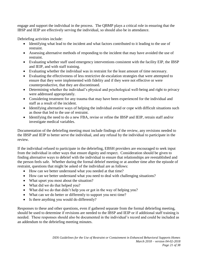engage and support the individual in the process. The QBMP plays a critical role in ensuring that the IBSP and IEIP are effectively serving the individual, so should also be in attendance.

Debriefing activities include:

- Identifying what lead to the incident and what factors contributed to it leading to the use of restraint.
- Assessing alternative methods of responding to the incident that may have avoided the use of restraint.
- Evaluating whether staff used emergency interventions consistent with the facility EIP, the IBSP and IEIP, and with staff training.
- Evaluating whether the individual was in restraint for the least amount of time necessary.
- Evaluating the effectiveness of less restrictive de-escalation strategies that were attempted to ensure that they were implemented with fidelity and if they were not effective or were counterproductive, that they are discontinued.
- Determining whether the individual's physical and psychological well-being and right to privacy were addressed appropriately.
- Considering treatment for any trauma that may have been experienced for the individual and staff as a result of the incident.
- Identifying alternative ways of helping the individual avoid or cope with difficult situations such as those that led to the use of restraint.
- Identifying the need to do a new FBA, revise or refine the IBSP and IEIP, retrain staff and/or investigate medical variables.

Documentation of the debriefing meeting must include findings of the review, any revisions needed to the IBSP and IEIP to better serve the individual, and any refusal by the individual to participate in the review.

If the individual refused to participate in the debriefing, EBSH providers are encouraged to seek input from the individual in other ways that ensure dignity and respect. Consideration should be given to finding alternative ways to debrief with the individual to ensure that relationships are reestablished and the person feels safe. Whether during the formal debrief meeting or at another time after the episode of restraint, questions that might be asked of the individual are as follows:

- How can we better understand what you needed at that time?
- How can we better understand what you need to deal with challenging situations?
- What upset you most about the situation?
- What did we do that helped you?
- What did we do that didn't help you or got in the way of helping you?
- What can we do better or differently to support you next time?
- Is there anything you would do differently?

Responses to these and other questions, even if gathered separate from the formal debriefing meeting, should be used to determine if revisions are needed to the IBSP and IEIP or if additional staff training is needed. These responses should also be documented in the individual's record and could be included as an addendum to the debriefing meeting minutes.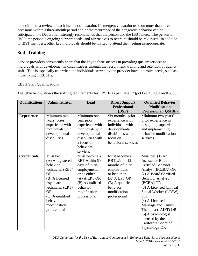In addition to a review of each incident of restraint, if emergency restraint used on more than three occasions within a three-month period and/or the recurrence of the dangerous behavior can be anticipated, the Department strongly recommends that the person and the IBST meet. The person's IBSP, the person's ongoing support needs, and alternatives to restraint should be reviewed. In addition to IBST members, other key individuals should be invited to attend the meeting as appropriate.

# **Staff Training**

Service providers consistently share that the key to their success in providing quality services to individuals with developmental disabilities is through the recruitment, training and retention of quality staff. This is especially true when the individuals served by the provider have intensive needs, such as those living in EBSHs.

### EBSH Staff Qualifications

The table below shows the staffing requirements for EBSHs as per Title 17 §59060, §59061 and§59050.

| <b>Qualifications</b> | Administrator                                                                                                                                                                                                | Lead                                                                                                                                                              | <b>Direct Support</b><br><b>Professional</b><br>(DSP)                                                                                                                 | <b>Qualified Behavior</b><br><b>Modification</b><br><b>Professional (QMBP)</b>                                                                                                                                                                                                                                                                                                       |
|-----------------------|--------------------------------------------------------------------------------------------------------------------------------------------------------------------------------------------------------------|-------------------------------------------------------------------------------------------------------------------------------------------------------------------|-----------------------------------------------------------------------------------------------------------------------------------------------------------------------|--------------------------------------------------------------------------------------------------------------------------------------------------------------------------------------------------------------------------------------------------------------------------------------------------------------------------------------------------------------------------------------|
| <b>Experience</b>     | Minimum two<br>years' prior<br>experience with<br>individuals with<br>developmental<br>disabilities                                                                                                          | Minimum one<br>year prior<br>experience with<br>individuals with<br>developmental<br>disabilities with<br>a focus on<br>behavioral<br>services                    | Six months' prior<br>experience with<br>individuals with<br>developmental<br>disabilities with a<br>focus on<br>behavioral services                                   | Minimum two years'<br>prior experience in<br>designing, supervising<br>and implementing<br>behavior modification<br>services                                                                                                                                                                                                                                                         |
| <b>Credentials</b>    | Must be:<br>(A) A registered<br>behavior<br>technician (RBT)<br><b>OR</b><br>(B) A licensed<br>psychiatric<br>technician (LPT)<br><b>OR</b><br>$(C)$ A qualified<br>behavior<br>modification<br>professional | Must become a<br>RBT within 60<br>days of initial<br>employment;<br>or be either<br>$(A)$ A LPT OR<br>(B) A qualified<br>behavior<br>modification<br>professional | Must become a<br>RBT within 12<br>months of initial<br>employment;<br>or be either<br>$(A)$ A LPT OR<br>$(B)$ A qualified<br>behavior<br>modification<br>professional | Must be: $(1)$ An<br><b>Assistance Board</b><br><b>Certified Behavior</b><br>Analyst (BCaBA) OR<br>(2) A Board Certified<br><b>Behavior Analyst</b><br>(BCBA) OR<br>(3) A Licensed Clinical<br>Social Worker (LCSW)<br><b>OR</b><br>$(4)$ A Licensed<br>Marriage and Family<br>Therapist (LMFT) OR<br>(5) A psychologist,<br>licensed by the<br>California Board of<br>Psychology OR |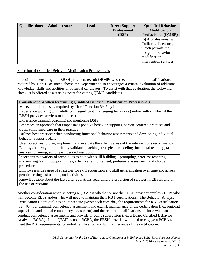| <b>Qualifications</b> | Administrator | Lead | <b>Direct Support</b><br><b>Professional</b><br>(DSP) | <b>Qualified Behavior</b><br><b>Modification</b><br><b>Professional (QMBP)</b>                                                        |
|-----------------------|---------------|------|-------------------------------------------------------|---------------------------------------------------------------------------------------------------------------------------------------|
|                       |               |      |                                                       | (6) A professional with<br>California licensure,<br>which permits the<br>design of behavior<br>modification<br>intervention services. |

#### Selection of Qualified Behavior Modification Professionals

In addition to ensuring that EBSH providers recruit QBMPs who meet the minimum qualifications required by Title 17 as stated above, the Department also encourages a critical evaluation of additional knowledge, skills and abilities of potential candidates. To assist with that evaluation, the following checklist is offered as a starting point for vetting QBMP candidates.

#### **Considerations when Recruiting Qualified Behavior Modification Professionals**

Meets qualifications as required by Title 17 section  $59050(v)$ 

Experience working with adults with significant challenging behaviors (and/or with children if the EBSH provides services to children)

Experience training, coaching and mentoring DSPs

Embraces an approach that emphasizes positive behavior supports, person-centered practices and trauma-informed care in their practice

Utilizes best practices when conducting functional behavior assessments and developing individual behavior supports plans

Uses objectives to plan, implement and evaluate the effectiveness of the interventions recommends Employs an array of empirically validated teaching strategies – modeling, incidental teaching, task analysis, chaining, activity-embedded instruction

Incorporates a variety of techniques to help with skill building – prompting, errorless teaching, maximizing learning opportunities, effective reinforcement, preference assessment and choice procedures

Employs a wide range of strategies for skill acquisition and skill generalization over time and across people, settings, situations, and activities

Knowledgeable about the laws and regulations regarding the provision of services in EBSHs and on the use of restraint

Another consideration when selecting a QBMP is whether or not the EBSH provider employs DSPs who will become RBTs and/or who will need to maintain their RBT certifications. The Behavior Analyst Certification Board outlines on its website [\(www.bacb.com/rbt/\)](http://www.bacb.com/rbt/) the requirements for RBT certification (i.e., 40-hour training, competency assessment and exam), maintenance of the certification (i.e., ongoing supervision and annual competency assessment) and the required qualifications of those who can conduct competency assessments and provide ongoing supervision (i.e., a Board Certified Behavior Analyst – BCBA). If the QBMP is not a BCBA, the EBSH provider will need to engage a BCBA to meet the RBT requirements for initial certification and for maintenance of the certification.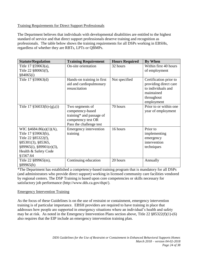#### Training Requirements for Direct Support Professionals

The Department believes that individuals with developmental disabilities are entitled to the highest standard of service and that direct support professionals deserve training and recognition as professionals. The table below shows the training requirements for all DSPs working in EBSHs, regardless of whether they are RBTs, LPTs or QBMPs.

| <b>Statute/Regulation</b>      | <b>Training Requirement</b>   | <b>Hours Required</b> | <b>By When</b>         |
|--------------------------------|-------------------------------|-----------------------|------------------------|
| Title 17 §59063(a),            | On-site orientation           | 32 hours              | Within first 40 hours  |
| Title 22 §80065(f),            |                               |                       | of employment          |
| §84065(i)                      |                               |                       |                        |
| Title 17 § 59063(d)            | Hands-on training in first    | Not specified         | Certification prior to |
|                                | aid and cardiopulmonary       |                       | providing direct care  |
|                                | resuscitation                 |                       | to individuals and     |
|                                |                               |                       | maintained             |
|                                |                               |                       | throughout             |
|                                |                               |                       | employment             |
| Title 17 $\S 56033(b)-(g),(i)$ | Two segments of               | 70 hours              | Prior to or within one |
|                                | competency-based              |                       | year of employment     |
|                                | training* and passage of      |                       |                        |
|                                | competency test OR            |                       |                        |
|                                | Pass the challenge test       |                       |                        |
| WIC $§4684.86(a)(1)(A),$       | <b>Emergency intervention</b> | 16 hours              | Prior to               |
| Title 17 §59063(b),            | training                      |                       | implementing           |
| Title 22 §85322(f),            |                               |                       | emergency              |
| §85301(3), §85365,             |                               |                       | intervention           |
| §89965(i), §89901(e)(3),       |                               |                       | techniques             |
| Health & Safety Code           |                               |                       |                        |
| §1567.64                       |                               |                       |                        |
| Title 22 §89965(m),            | Continuing education          | 20 hours              | Annually               |
| §89965(h)                      |                               |                       |                        |

\*The Department has established a competency-based training program that is mandatory for all DSPs (and administrators who provide direct support) working in licensed community care facilities vendored by regional centers. The DSP Training is based upon core competencies or skills necessary for satisfactory job performance (http://www.dds.ca.gov/dspt/).

#### Emergency Intervention Training

As the focus of these Guidelines is on the use of restraint or containment, emergency intervention training is of particular importance. EBSH providers are required to have training in place that addresses how people are supported in emergency situations where an individual's health and safety may be at risk. As noted in the Emergency Intervention Plans section above, Title 22 §85322(f)(1)-(6) also requires that the EIP include an emergency intervention training plan.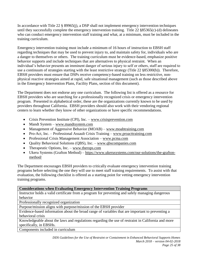In accordance with Title 22 § 89965(j), a DSP shall not implement emergency intervention techniques until they successfully complete the emergency intervention training. Title 22 §85365(c)-(d) delineates who can conduct emergency intervention staff training and what, at a minimum, must be included in the training curriculum.

Emergency intervention training must include a minimum of 16 hours of instruction to EBSH staff regarding techniques that may be used to prevent injury to, and maintain safety for, individuals who are a danger to themselves or others. The training curriculum must be evidence-based, emphasize positive behavior supports and include techniques that are alternatives to physical restraint. When an individual's behavior presents an imminent danger of serious injury to self or others, staff are required to use a continuum of strategies starting with the least restrictive strategy (Title 22 §85300(b)). Therefore, EBSH providers must ensure that DSPs receive competency-based training on less restrictive, nonphysical reactive strategies aimed at rapid, safe situational management (such as those described above in the Emergency Intervention Plans, Facility Plans, section of this document).

The Department does not endorse any one curriculum. The following list is offered as a resource for EBSH providers who are searching for a professionally recognized crisis or emergency intervention program. Presented in alphabetical order, these are the organizations currently known to be used by providers throughout California. EBSH providers should also work with their vendoring regional centers to learn whether they know of other organizations or have specific recommendations.

- Crisis Prevention Institute (CPI), Inc. [www.crisisprevention.com](http://www.crisisprevention.com/)
- Mandt System [www.mandtsystem.com](http://www.mandtsystem.com/)
- Management of Aggressive Behavior (MOAB) [www.moabtraining.com](http://www.moabtraining.com/)
- Pro-Act, Inc. Professional Assault Crisis Training [www.proacttraining.com](http://www.proacttraining.com/)
- Professional Crisis Management Association [www.pcma.com](http://www.pcma.com/)
- Quality Behavioral Solutions (QBS), Inc. [www.qbscompanies.com](http://www.qbscompanies.com/)
- Therapeutic Options, Inc. [www.therops.com](http://www.therops.com/)
- Ukeru Systems (Grafton Method) [https://www.ukerusystems.com/our-solutions/the-grafton](https://www.ukerusystems.com/our-solutions/the-grafton-method/)[method/](https://www.ukerusystems.com/our-solutions/the-grafton-method/)

The Department encourages EBSH providers to critically evaluate emergency intervention training programs before selecting the one they will use to meet staff training requirements. To assist with that evaluation, the following checklist is offered as a starting point for vetting emergency intervention training programs.

### **Considerations when Evaluating Emergency Intervention Training Programs**

Instructor holds a valid certificate from a program for preventing and safely managing dangerous behavior

Professionally recognized organization

Purpose/mission aligns with purpose/mission of the EBSH provider

Evidence-based information about the broad range of variables that are important to preventing a behavioral crisis

Knowledgeable about the laws and regulations regarding the use of restraint in California and more specifically, in EBSHs.

Components included in curriculum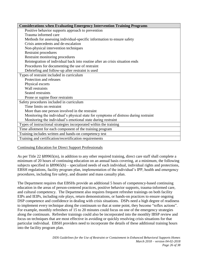| <b>Considerations when Evaluating Emergency Intervention Training Programs</b>       |
|--------------------------------------------------------------------------------------|
| Positive behavior supports approach to prevention                                    |
| Trauma informed care                                                                 |
| Methods for assessing individual-specific information to ensure safety               |
| Crisis antecedents and de-escalation                                                 |
| Non-physical intervention techniques                                                 |
| <b>Restraint procedures</b>                                                          |
| Restraint monitoring procedures                                                      |
| Reintegration of individual back into routine after an crisis situation ends         |
| Procedures for documenting the use of restraint                                      |
| Debriefing and follow-up after restraint is used                                     |
| Types of restraint included in curriculum                                            |
| Protection and releases                                                              |
| Physical escorts                                                                     |
| Wall restraints                                                                      |
| Seated restraints                                                                    |
| Prone or supine floor restraints                                                     |
| Safety procedures included in curriculum                                             |
| Time limits on restraint                                                             |
| More than one person involved in the restraint                                       |
| Monitoring the individual's physical state for symptoms of distress during restraint |
| Monitoring the individual's emotional state during restraint                         |
| Types of instructional strategies incorporated within the training                   |
| Time allotment for each component of the training program                            |
| Training includes written and hands-on competency test                               |
| Training and certification/recertification requirements                              |

Continuing Education for Direct Support Professionals

As per Title 22 §89965(m), in addition to any other required training, direct care staff shall complete a minimum of 20 hours of continuing education on an annual basis covering, at a minimum, the following subjects specified in §89965(h) – specialized needs of each individual, individual rights and protections, EBSH regulations, facility program plan, implementation of the individual's IPP, health and emergency procedures, including fire safety, and disaster and mass casualty plan.

The Department requires that EBSHs provide an additional 5 hours of competency-based continuing education in the areas of person-centered practices, positive behavior supports, trauma-informed care, and cultural competency. The Department also requires frequent refresher trainings on both facility EIPs and IEIPs, including role plays, return demonstrations, or hands-on practices to ensure ongoing DSP competence and confidence in dealing with crisis situations. DSPs need a high degree of readiness to implement every technique along the continuum so that at some point, they become "reflex actions". For example, monthly refreshers of 15 to 20 minutes could focus on one of the emergency strategies along the continuum. Refresher trainings could also be incorporated into the monthly IBSP review and focus on techniques that are most effective in avoiding or quickly resolving crisis situations for that particular individual. EBSH providers need to incorporate the details of these additional training hours into the facility program plan.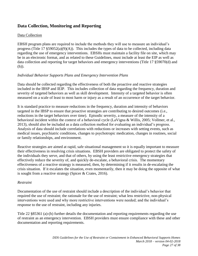## **Data Collection, Monitoring and Reporting**

#### Data Collection

EBSH program plans are required to include the methods they will use to measure an individual's progress (Title 17  $\S 59052(a)(9)(A)$ ). This includes the types of data to be collected, including data regarding the use of emergency interventions. EBSHs must maintain a facility file on site, which may be in an electronic format, and as related to these Guidelines, must include at least the EIP as well as data collection and reporting for target behaviors and emergency interventions (Title 17 §59070(d) and (h)).

#### *Individual Behavior Supports Plans and Emergency Intervention Plans*

Data should be collected regarding the effectiveness of both the proactive and reactive strategies included in the IBSP and IEIP. This includes collection of data regarding the frequency, duration and severity of targeted behaviors as well as skill development. Intensity of a targeted behavior is often measured on a scale of least to most harm or injury as a result of an occurrence of the target behavior.

It is standard practice to measure reductions in the frequency, duration and intensity of behaviors targeted in the IBSP to ensure that proactive strategies are contributing to desired outcomes (i.e., reductions in the target behaviors over time). Episodic severity, a measure of the intensity of a behavioral incident within the context of a behavioral cycle (LaVigna & Willis, 2005; Vollmer, et al., 2013), should also be included as a data collection method for evaluating an individual's progress. Analysis of data should include correlations with reductions or increases with setting events, such as medical issues, psychiatric conditions, changes to psychotropic medication, changes in routines, social or family relationships, and environment.

Reactive strategies are aimed at rapid, safe situational management so it is equally important to measure their effectiveness in resolving crisis situations. EBSH providers are obligated to protect the safety of the individuals they serve, and that of others, by using the least restrictive emergency strategies that effectively reduce the severity of, and quickly de-escalate, a behavioral crisis. The momentary effectiveness of a reactive strategy is measured, then, by determining if it results in de-escalating the crisis situation. If it escalates the situation, even momentarily, then it may be doing the opposite of what is sought from a reactive strategy (Spicer & Crates, 2016).

#### *Restraint*

Documentation of the use of restraint should include a description of the individual's behavior that required the use of restraint; the rationale for the use of restraint; what less restrictive, non-physical interventions were used and why more restrictive interventions were needed; and the individual's response to the use of restraint, including any injuries.

Title 22 §85361 (a)-(h) further details the documentation and reporting requirements regarding the use of restraint as an emergency intervention. EBSH providers must ensure compliance with these and other documentation and reporting requirements.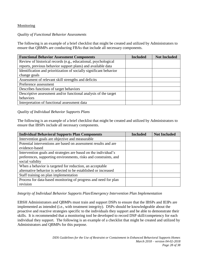#### Monitoring

#### *Quality of Functional Behavior Assessments*

The following is an example of a brief checklist that might be created and utilized by Administrators to ensure that QBMPs are conducting FBAs that include all necessary components.

| <b>Functional Behavior Assessment Components</b>                   | <b>Included</b> | <b>Not Included</b> |
|--------------------------------------------------------------------|-----------------|---------------------|
| Review of historical records (e.g., educational, psychological     |                 |                     |
| reports, previous behavior support plans) and available data       |                 |                     |
| Identification and prioritization of socially significant behavior |                 |                     |
| change goals                                                       |                 |                     |
| Assessment of relevant skill strengths and deficits                |                 |                     |
| Preference assessment                                              |                 |                     |
| Describes functions of target behaviors                            |                 |                     |
| Descriptive assessment and/or functional analysis of the target    |                 |                     |
| behaviors                                                          |                 |                     |
| Interpretation of functional assessment data                       |                 |                     |

#### *Quality of Individual Behavior Supports Plans*

The following is an example of a brief checklist that might be created and utilized by Administrators to ensure that IBSPs include all necessary components.

| <b>Individual Behavioral Supports Plan Components</b>            | <b>Included</b> | <b>Not Included</b> |
|------------------------------------------------------------------|-----------------|---------------------|
| Intervention goals are objective and measurable                  |                 |                     |
| Potential interventions are based on assessment results and are  |                 |                     |
| evidence-based                                                   |                 |                     |
| Intervention goals and strategies are based on the individual's  |                 |                     |
| preferences, supporting environments, risks and constraints, and |                 |                     |
| social validity                                                  |                 |                     |
| When a behavior is targeted for reduction, an acceptable         |                 |                     |
| alternative behavior is selected to be established or increased  |                 |                     |
| Staff training on plan implementation                            |                 |                     |
| Process for data-based monitoring of progress and need for plan  |                 |                     |
| revision                                                         |                 |                     |

*Integrity of Individual Behavior Supports Plan/Emergency Intervention Plan Implementation*

EBSH Administrators and QBMPs must train and support DSPs to ensure that the IBSPs and IEIPs are implemented as intended (i.e., with treatment integrity). DSPs should be knowledgeable about the proactive and reactive strategies specific to the individuals they support and be able to demonstrate their skills. It is recommended that a monitoring tool be developed to record DSP skill/competency for each individual they support. The following is an example of a checklist that might be created and utilized by Administrators and QBMPs for this purpose.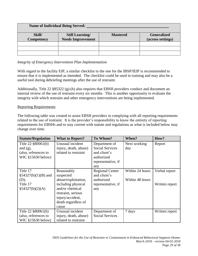| <b>Name of Individual Being Served:</b> |                          |                 |                    |  |  |
|-----------------------------------------|--------------------------|-----------------|--------------------|--|--|
| Skill/                                  | <b>Still Learning/</b>   | <b>Mastered</b> | <b>Generalized</b> |  |  |
| Competency                              | <b>Needs Improvement</b> |                 | (across settings)  |  |  |
|                                         |                          |                 |                    |  |  |
|                                         |                          |                 |                    |  |  |
|                                         |                          |                 |                    |  |  |

*Integrity of Emergency Intervention Plan Implementation*

With regard to the facility EIP, a similar checklist to the one for the IBSP/IEIP is recommended to ensure that it is implemented as intended. The checklist could be used in training and may also be a useful tool during debriefing meetings after the use of restraint.

Additionally, Title 22 §85322 (g)-(h) also requires that EBSH providers conduct and document an internal review of the use of restraint every six months. This is another opportunity to evaluate the integrity with which restraint and other emergency interventions are being implemented.

#### Reporting Requirements

The following table was created to assist EBSH providers in complying with all reporting requirements related to the use of restraint. It is the provider's responsibility to know the entirety of reporting requirements for EBSHs and to stay current with statute and regulations as what is included below may change over time.

| <b>Statute/Regulation</b>                                                        | <b>What to Report?</b>                                                                                                                                            | To Whom?                                                                                           | When?                              | How?                            |
|----------------------------------------------------------------------------------|-------------------------------------------------------------------------------------------------------------------------------------------------------------------|----------------------------------------------------------------------------------------------------|------------------------------------|---------------------------------|
| Title 22 §80061(b)<br>and $(g)$ ,<br>(also, references to<br>WIC $$15630$ below) | Unusual incident<br>injury, death, abuse)<br>related to restraint                                                                                                 | Department of<br><b>Social Services</b><br>and client's<br>authorized<br>representative, if<br>any | Next working<br>day                | Report                          |
| Title 17<br>$§54327(b)(1)(B)$ and<br>(D);<br>Title 17<br>§54327(b)(2)(A)         | Reasonably<br>suspected<br>abuse/exploitation,<br>including physical<br>and/or chemical<br>restraint, serious<br>injury/accident,<br>death regardless of<br>cause | <b>Regional Center</b><br>and client's<br>authorized<br>representative, if<br>any                  | Within 24 hours<br>Within 48 hours | Verbal report<br>Written report |
| Title $22$ §80061(b)<br>(also, references to<br>WIC $$15630$ below)              | Unusual incident<br>injury, death, abuse)<br>related to restraint                                                                                                 | Department of<br><b>Social Services</b>                                                            | 7 days                             | Written report                  |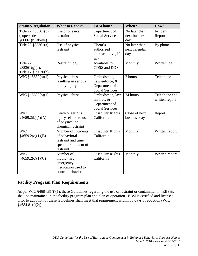| <b>Statute/Regulation</b>                               | <b>What to Report?</b>                                                                           | To Whom?                                                                | When?                                 | How?                            |
|---------------------------------------------------------|--------------------------------------------------------------------------------------------------|-------------------------------------------------------------------------|---------------------------------------|---------------------------------|
| Title 22 §85361(b)<br>(supersedes<br>$§80061(b)$ above) | Use of physical<br>restraint                                                                     | Department of<br><b>Social Services</b>                                 | No later than<br>next business<br>day | Incident<br>Report              |
| Title 22 §85361(a)                                      | Use of physical<br>restraint                                                                     | Client's<br>authorized<br>representative, if<br>any                     | No later than<br>next calendar<br>day | By phone                        |
| Title 22<br>§85361(g)(h),<br>Title 17 §59070(h)         | <b>Restraint log</b>                                                                             | Available to<br>CDSS and DDS                                            | Monthly                               | Written log                     |
| $\overline{W}$ IC §15630(b)(1)                          | Physical abuse<br>resulting in serious<br>bodily injury                                          | Ombudsman,<br>Law enforce, &<br>Department of<br><b>Social Services</b> | 2 hours                               | Telephone                       |
| WIC §15630(b)(1)                                        | Physical abuse                                                                                   | Ombudsman, law<br>enforce, &<br>Department of<br><b>Social Services</b> | 24 hours                              | Telephone and<br>written report |
| <b>WIC</b><br>§4659.2(b)(1)(A)                          | Death or serious<br>injury related to use<br>of physical or<br>chemical restraint                | <b>Disability Rights</b><br>California                                  | Close of next<br>business day         | Report                          |
| <b>WIC</b><br>§4659.2(c)(1)(B)                          | Number of incidents<br>of behavioral<br>restraint and time<br>spent per incident of<br>restraint | <b>Disability Rights</b><br>California                                  | Monthly                               | Written report                  |
| <b>WIC</b><br>§4659.2(c)(1)(C)                          | Number of<br>involuntary<br>emergency<br>medication used to<br>control behavior                  | <b>Disability Rights</b><br>California                                  | Monthly                               | Written report                  |

## **Facility Program Plan Requirements**

As per WIC §4684.81(i)(1), these Guidelines regarding the use of restraint or containment in EBSHs shall be maintained in the facility program plan and plan of operation. EBSHs certified and licensed prior to adoption of these Guidelines shall meet that requirement within 30 days of adoption (WIC §4684.81(i)(2)).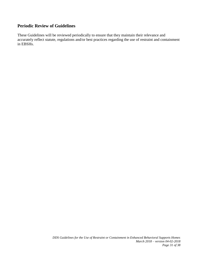## **Periodic Review of Guidelines**

These Guidelines will be reviewed periodically to ensure that they maintain their relevance and accurately reflect statute, regulations and/or best practices regarding the use of restraint and containment in EBSHs.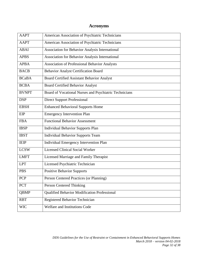# **Acronyms**

| <b>AAPT</b>  | American Association of Psychiatric Technicians        |
|--------------|--------------------------------------------------------|
| <b>AAPT</b>  | American Association of Psychiatric Technicians        |
| <b>ABAI</b>  | Association for Behavior Analysis International        |
| <b>APBS</b>  | Association for Behavior Analysis International        |
| <b>APBA</b>  | <b>Association of Professional Behavior Analysts</b>   |
| <b>BACB</b>  | <b>Behavior Analyst Certification Board</b>            |
| <b>BCaBA</b> | <b>Board Certified Assistant Behavior Analyst</b>      |
| <b>BCBA</b>  | <b>Board Certified Behavior Analyst</b>                |
| <b>BVNPT</b> | Board of Vocational Nurses and Psychiatric Technicians |
| <b>DSP</b>   | <b>Direct Support Professional</b>                     |
| <b>EBSH</b>  | <b>Enhanced Behavioral Supports Home</b>               |
| EIP          | <b>Emergency Intervention Plan</b>                     |
| <b>FBA</b>   | <b>Functional Behavior Assessment</b>                  |
| <b>IBSP</b>  | <b>Individual Behavior Supports Plan</b>               |
| <b>IBST</b>  | <b>Individual Behavior Supports Team</b>               |
| <b>IEIP</b>  | Individual Emergency Intervention Plan                 |
| <b>LCSW</b>  | <b>Licensed Clinical Social Worker</b>                 |
| <b>LMFT</b>  | Licensed Marriage and Family Therapist                 |
| <b>LPT</b>   | Licensed Psychiatric Technician                        |
| <b>PBS</b>   | <b>Positive Behavior Supports</b>                      |
| PCP          | Person Centered Practices (or Planning)                |
| <b>PCT</b>   | Person Centered Thinking                               |
| <b>QBMP</b>  | Qualified Behavior Modification Professional           |
| <b>RBT</b>   | Registered Behavior Technician                         |
| <b>WIC</b>   | Welfare and Institutions Code                          |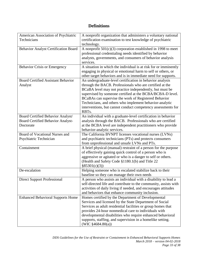# **Definitions**

| American Association of Psychiatric         | A nonprofit organization that administers a voluntary national   |
|---------------------------------------------|------------------------------------------------------------------|
| Technicians                                 | certification examination to test knowledge of psychiatric       |
|                                             | technology.                                                      |
| <b>Behavior Analyst Certification Board</b> | A nonprofit $501(c)(3)$ corporation established in 1998 to meet  |
|                                             | professional credentialing needs identified by behavior          |
|                                             | analysts, governments, and consumers of behavior analysis        |
|                                             | services.                                                        |
| <b>Behavior Crisis or Emergency</b>         | A situation in which the individual is at risk for or imminently |
|                                             | engaging in physical or emotional harm to self or others, or     |
|                                             | other target behaviors and is in immediate need for supports.    |
| <b>Board Certified Assistant Behavior</b>   | An undergraduate-level certification in behavior analysis        |
| Analyst                                     | through the BACB. Professionals who are certified at the         |
|                                             | BCaBA level may not practice independently, but must be          |
|                                             | supervised by someone certified at the BCBA/BCBA-D level.        |
|                                             | BCaBAs can supervise the work of Registered Behavior             |
|                                             | Technicians, and others who implement behavior-analytic          |
|                                             | interventions, but cannot conduct competency assessments for     |
|                                             | RBT <sub>s</sub> .                                               |
| Board Certified Behavior Analyst/           | An individual with a graduate-level certification in behavior    |
| Board Certified Behavior Analyst-           | analysis through the BACB. Professionals who are certified       |
| Doctorate                                   | at the BCBA level are independent practitioners who provide      |
|                                             | behavior-analytic services.                                      |
| Board of Vocational Nurses and              | The California BVNPT licenses vocational nurses (LVNs)           |
| Psychiatric Technician                      | and psychiatric technicians (PTs) and protects consumers         |
|                                             | from unprofessional and unsafe LVNs and PTs.                     |
| Containment                                 | A brief physical (manual) restraint of a person for the purpose  |
|                                             | of effectively gaining quick control of a person who is          |
|                                             | aggressive or agitated or who is a danger to self or others.     |
|                                             | (Health and Safety Code §1180.1(b) and Title 22                  |
|                                             | §85301(c)(3))                                                    |
| De-escalation                               | Helping someone who is escalated stabilize back to their         |
|                                             | baseline so they can manage their own needs                      |
| <b>Direct Support Professional</b>          | A person who assists an individual with a disability to lead a   |
|                                             | self-directed life and contribute to the community, assists with |
|                                             | activities of daily living if needed, and encourages attitudes   |
|                                             | and behaviors that enhance community inclusion.                  |
| <b>Enhanced Behavioral Supports Home</b>    | Homes certified by the Department of Developmental               |
|                                             | Services and licensed by the State Department of Social          |
|                                             | Services as adult residential facilities or group homes that     |
|                                             | provides 24-hour nonmedical care to individuals with             |
|                                             | developmental disabilities who require enhanced behavioral       |
|                                             | supports, staffing, and supervision in a homelike setting.       |
|                                             | (WIC $$4684.80(a)$ )                                             |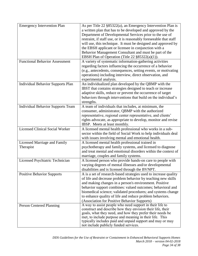| <b>Emergency Intervention Plan</b>       | As per Title 22 §85322(a), an Emergency Intervention Plan is        |
|------------------------------------------|---------------------------------------------------------------------|
|                                          | a written plan that has to be developed and approved by the         |
|                                          | Department of Developmental Services prior to the use of            |
|                                          | restraint, if staff use, or it is reasonably foreseeable that staff |
|                                          | will use, this technique. It must be designed and approved by       |
|                                          | the EBSH applicant or licensee in conjunction with a                |
|                                          | Behavior Management Consultant and must be part of the              |
|                                          | EBSH Plan of Operation (Title 22 §85322(a)(1)).                     |
| <b>Functional Behavior Assessment</b>    | A variety of systematic information-gathering activities            |
|                                          | regarding factors influencing the occurrence of a behavior          |
|                                          | (e.g., antecedents, consequences, setting events, or motivating     |
|                                          | operations) including interview, direct observation, and            |
|                                          | experimental analysis.                                              |
| <b>Individual Behavior Supports Plan</b> | An individualized plan developed by the QBMP with the               |
|                                          | IBST that contains strategies designed to teach or increase         |
|                                          | adaptive skills, reduce or prevent the occurrence of target         |
|                                          | behaviors through interventions that build on the individual's      |
|                                          | strengths.                                                          |
| <b>Individual Behavior Supports Team</b> | A team of individuals that includes, at minimum, the                |
|                                          | consumer, administrator, QBMP with the authorized                   |
|                                          | representative, regional center representative, and clients'        |
|                                          | rights advocate, as appropriate to develop, monitor and revise      |
|                                          | IBSP. Meets at least monthly.                                       |
| <b>Licensed Clinical Social Worker</b>   | A licensed mental health professional who works in a sub-           |
|                                          | sector within the field of Social Work to help individuals deal     |
|                                          | with issues involving mental and emotional health.                  |
| Licensed Marriage and Family             | A licensed mental health professional trained in                    |
| Therapist                                | psychotherapy and family systems, and licensed to diagnose          |
|                                          | and treat mental and emotional disorders within the context of      |
|                                          | marriage, couples and family systems.                               |
| Licensed Psychiatric Technician          | A licensed person who provide hands-on care to people with          |
|                                          | varying degrees of mental illnesses and/or developmental            |
|                                          | disabilities and is licensed through the BVNPT.                     |
| <b>Positive Behavior Supports</b>        | A is a set of research-based strategies used to increase quality    |
|                                          | of life and decrease problem behavior by teaching new skills        |
|                                          | and making changes in a person's environment. Positive              |
|                                          | behavior support combines: valued outcomes; behavioral and          |
|                                          | biomedical science; validated procedures; and systems change        |
|                                          | to enhance quality of life and reduce problem behaviors.            |
|                                          | (Association for Positive Behavior Supports)                        |
| Person Centered Planning                 | A way to assist people who need support in their life to            |
|                                          | construct and describe how they envision their life, their          |
|                                          | goals, what they need, and how they prefer their needs be           |
|                                          | met, to include purpose and meaning in their life. This             |
|                                          | typically includes paid and unpaid support and may or may           |
|                                          | not include publicly funded services.                               |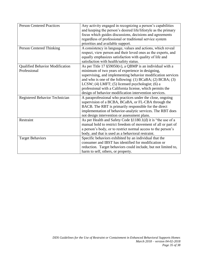| <b>Person Centered Practices</b>                       | Any activity engaged in recognizing a person's capabilities<br>and keeping the person's desired life/lifestyle as the primary<br>focus which guides discussions, decisions and agreements<br>regardless of professional or traditional service system<br>priorities and available support.                                                                                                                                      |
|--------------------------------------------------------|---------------------------------------------------------------------------------------------------------------------------------------------------------------------------------------------------------------------------------------------------------------------------------------------------------------------------------------------------------------------------------------------------------------------------------|
| Person Centered Thinking                               | A consistency in language, values and actions, which reveal<br>respect, view person and their loved ones as the experts, and<br>equally emphasizes satisfaction with quality of life and<br>satisfaction with health/safety status.                                                                                                                                                                                             |
| <b>Qualified Behavior Modification</b><br>Professional | As per Title 17 $\S$ 59050(v), a QBMP is an individual with a<br>minimum of two years of experience in designing,<br>supervising, and implementing behavior modification services<br>and who is one of the following: (1) BCaBA; (2) BCBA; (3)<br>LCSW; $(4)$ LMFT; $(5)$ licensed psychologist; $(6)$ a<br>professional with a California license, which permits the<br>design of behavior modification intervention services. |
| Registered Behavior Technician                         | A paraprofessional who practices under the close, ongoing<br>supervision of a BCBA, BCaBA, or FL-CBA through the<br>BACB. The RBT is primarily responsible for the direct<br>implementation of behavior-analytic services. The RBT does<br>not design intervention or assessment plans.                                                                                                                                         |
| Restraint                                              | As per Health and Safety Code §1180.1(d) it is "the use of a<br>manual hold to restrict freedom of movement of all or part of<br>a person's body, or to restrict normal access to the person's<br>body, and that is used as a behavioral restraint.                                                                                                                                                                             |
| <b>Target Behaviors</b>                                | Specific behaviors exhibited by an individual that the<br>consumer and IBST has identified for modification or<br>reduction. Target behaviors could include, but not limited to,<br>harm to self, others, or property.                                                                                                                                                                                                          |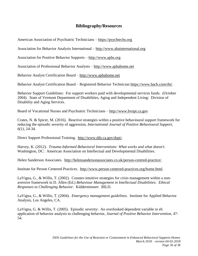## **Bibliography/Resources**

American Association of Psychiatric Technicians – [https://psychtechs.org](https://psychtechs.org/)

Association for Behavior Analysis International – [http://www.abainternational.org](http://www.abainternational.org/)

Association for Positive Behavior Supports – [http://www.apbs.org](http://www.apbs.org/)

Association of Professional Behavior Analysts – [http://www.apbahome.net](http://www.apbahome.net/)

Behavior Analyst Certification Board – [http://www.apbahome.net](http://www.apbahome.net/)

Behavior Analyst Certification Board – Registered Behavior Technician [https://www.bacb.com/rbt/.](https://www.bacb.com/rbt/)

Behavior Support Guidelines: For support workers paid with developmental services funds. (October 2004). State of Vermont Department of Disabilities, Aging and Independent Living: Division of Disability and Aging Services.

Board of Vocational Nurses and Psychiatric Technicians – [http://www.bvnpt.ca.gov](http://www.bvnpt.ca.gov/)

Crates, N. & Spicer, M. (2016). Reactive strategies within a positive behavioural support framework for reducing the episodic severity of aggression, *International Journal of Positive Behavioural Support, 6(1),* 24-34.

Direct Support Professional Training. [http://www.dds.ca.gov/dspt/.](http://www.dds.ca.gov/dspt/)

Harvey, K. (2012). *Trauma-Informed Behavioral Interventions: What works and what doesn't.* Washington, DC: American Association on Intellectual and Developmental Disabilities.

Helen Sanderson Associates. [http://helensandersonassociates.co.uk/person-centred-practice/.](http://helensandersonassociates.co.uk/person-centred-practice/)

Institute for Person Centered Practices. [http://www.person-centered-practices.org/home.html.](http://www.person-centered-practices.org/home.html)

LaVigna, G., & Willis, T. (2002). Counter-intuitive strategies for crisis management within a nonaversive framework in D. Allen (Ed.) *Behaviour Management in Intellectual Disabilities: Ethical Responses to Challenging Behavior.* Kidderminster: BILD.

LaVigna, G., & Willis, T. (2004). *Emergency management guidelines*. Institute for Applied Behavior Analysis, Los Angeles, CA.

LaVigna, G. & Willis, T. (2005). Episodic severity: An overlooked dependent variable in eh application of behavior analysis to challenging behavior, *Journal of Positive Behavior Intervention*, 47- 54.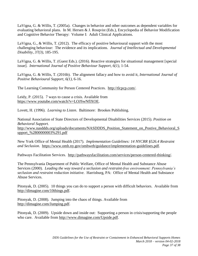LaVigna, G. & Willis, T. (2005a). Changes in behavior and other outcomes as dependent variables for evaluating behavioral plans. In M. Hersen & J. Rosqvist (Eds.), Encyclopedia of Behavior Modification and Cognitive Behavior Therapy: Volume I: Adult Clinical Applications.

LaVigna, G., & Willis, T. (2012). The efficacy of positive behavioural support with the most challenging behaviour: The evidence and its implications. *Journal of Intellectual and Developmental Disability, 37(3)*, 185-195.

LaVigna, G. & Willis, T. (Guest Eds.). (2016). Reactive strategies for situational management [special issue]. *International Journal of Positive Behaviour Support, 6(1)*, 1-54.

LaVigna, G. & Willis, T. (2016b). The alignment fallacy and how to avoid it, *International Journal of Positive Behavioural Support, 6(1),* 6-16.

The Learning Community for Person Centered Practices. [http://tlcpcp.com/.](http://tlcpcp.com/)

Leidy, P. (2015). 7 ways to cause a crisis. Available from [https://www.youtube.com/watch?v=LOJSwNflXOE.](https://www.youtube.com/watch?v=LOJSwNflXOE)

Lovett, H. (1996). *Learning to Listen*. Baltimore: Brookes Publishing.

National Association of State Directors of Developmental Disabilities Services (2015). *Position on Behavioral Support.* http://www.nasddds.org/uploads/documents/NASDDDS Position Statement on Postive Behavioral S [upport\\_%2800000003%291.pdf](http://www.nasddds.org/uploads/documents/NASDDDS_Position_Statement_on_Postive_Behavioral_Support_%2800000003%291.pdf)

New York Office of Mental Health (2017). *Implementation Guidelines: 14 NYCRR §526.4 Restraint and Seclusion.* [https://www.omh.ny.gov/omhweb/guidance/implementation-guidelines.pdf.](https://www.omh.ny.gov/omhweb/guidance/implementation-guidelines.pdf)

Pathways Facilitation Services. [http://pathwaysfacilitation.com/services/person-centered-thinking/.](http://pathwaysfacilitation.com/services/person-centered-thinking/)

The Pennsylvania Department of Public Welfare, Office of Mental Health and Substance Abuse Services (2000). *Leading the way toward a seclusion and restraint-free environment: Pennsylvania's seclusion and restraint reduction initiative.* Harrisburg, PA: Office of Mental Health and Substance Abuse Services.

Pitonyak, D. (2005). 10 things you can do to support a person with difficult behaviors. Available from [http://dimagine.com/10things.pdf.](http://dimagine.com/10things.pdf)

Pitonyak, D. (2008). Jumping into the chaos of things. Available from [http://dimagine.com/Jumping.pdf.](http://dimagine.com/Jumping.pdf)

Pitonyak, D. (2009). Upside down and inside out: Supporting a person in crisis/supporting the people who care. Available from [http://www.dimagine.com/Upside.pdf.](http://www.dimagine.com/Upside.pdf)